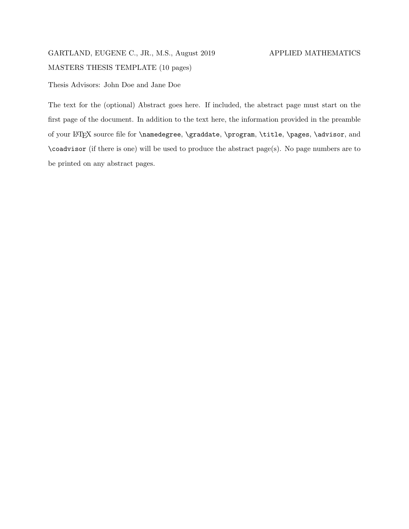# GARTLAND, EUGENE C., JR., M.S., August 2019 APPLIED MATHEMATICS MASTERS THESIS TEMPLATE (10 pages)

Thesis Advisors: John Doe and Jane Doe

The text for the (optional) Abstract goes here. If included, the abstract page must start on the first page of the document. In addition to the text here, the information provided in the preamble of your LATEX source file for \namedegree, \graddate, \program, \title, \pages, \advisor, and \coadvisor (if there is one) will be used to produce the abstract page(s). No page numbers are to be printed on any abstract pages.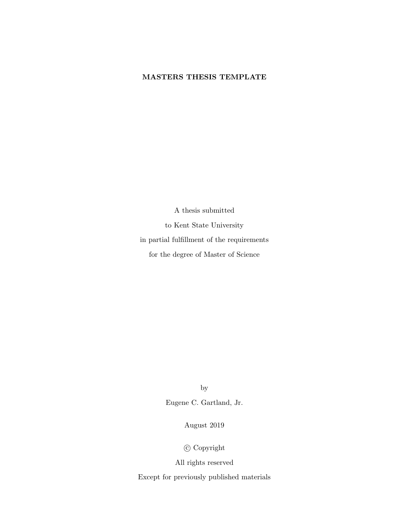### MASTERS THESIS TEMPLATE

A thesis submitted to Kent State University in partial fulfillment of the requirements for the degree of Master of Science

by

Eugene C. Gartland, Jr.

August 2019

c Copyright

All rights reserved

Except for previously published materials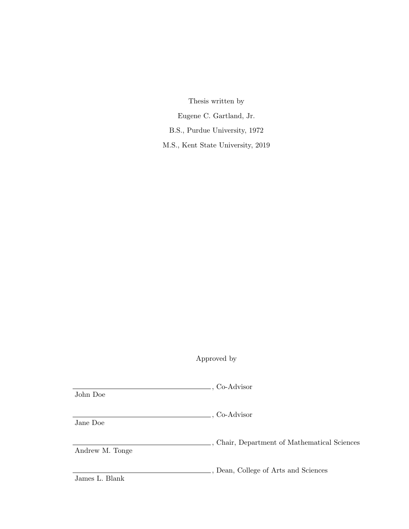Thesis written by Eugene C. Gartland, Jr. B.S., Purdue University, 1972 M.S., Kent State University, 2019

Approved by

| John Doe        | , Co-Advisor                                 |
|-----------------|----------------------------------------------|
| Jane Doe        | ., Co-Advisor                                |
| Andrew M. Tonge | , Chair, Department of Mathematical Sciences |
| James L. Blank  | ., Dean, College of Arts and Sciences        |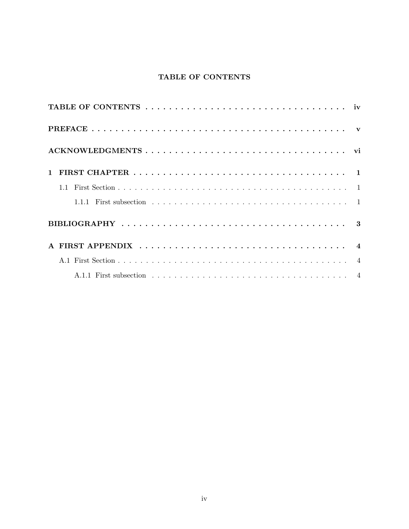# TABLE OF CONTENTS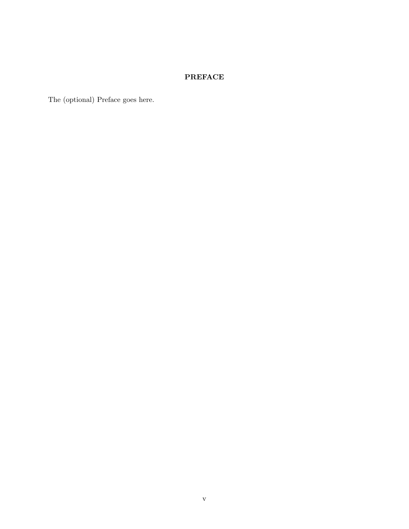## PREFACE

The (optional) Preface goes here.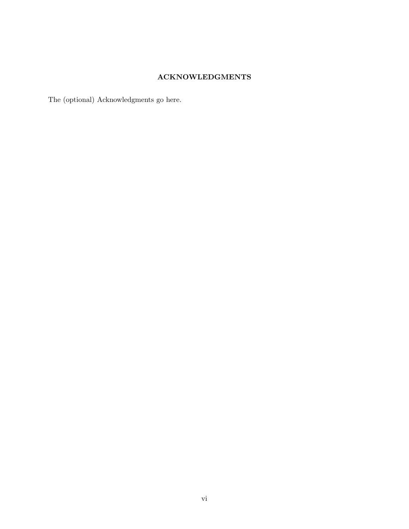### ACKNOWLEDGMENTS

The (optional) Acknowledgments go here.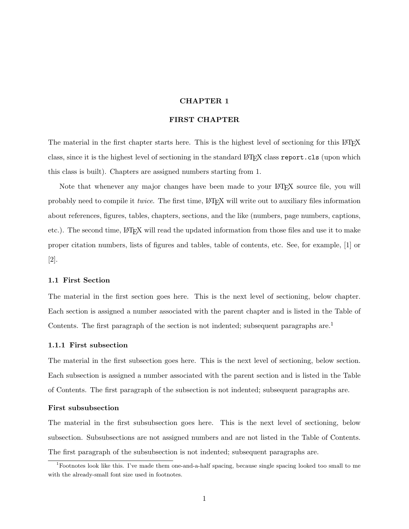### CHAPTER 1

#### FIRST CHAPTER

The material in the first chapter starts here. This is the highest level of sectioning for this LAT<sub>EX</sub> class, since it is the highest level of sectioning in the standard LATEX class report.cls (upon which this class is built). Chapters are assigned numbers starting from 1.

Note that whenever any major changes have been made to your LAT<sub>E</sub>X source file, you will probably need to compile it *twice*. The first time, LATEX will write out to auxiliary files information about references, figures, tables, chapters, sections, and the like (numbers, page numbers, captions, etc.). The second time, LATEX will read the updated information from those files and use it to make proper citation numbers, lists of figures and tables, table of contents, etc. See, for example, [1] or [2].

#### 1.1 First Section

The material in the first section goes here. This is the next level of sectioning, below chapter. Each section is assigned a number associated with the parent chapter and is listed in the Table of Contents. The first paragraph of the section is not indented; subsequent paragraphs are.<sup>1</sup>

#### 1.1.1 First subsection

The material in the first subsection goes here. This is the next level of sectioning, below section. Each subsection is assigned a number associated with the parent section and is listed in the Table of Contents. The first paragraph of the subsection is not indented; subsequent paragraphs are.

#### First subsubsection

The material in the first subsubsection goes here. This is the next level of sectioning, below subsection. Subsubsections are not assigned numbers and are not listed in the Table of Contents. The first paragraph of the subsubsection is not indented; subsequent paragraphs are.

<sup>1</sup>Footnotes look like this. I've made them one-and-a-half spacing, because single spacing looked too small to me with the already-small font size used in footnotes.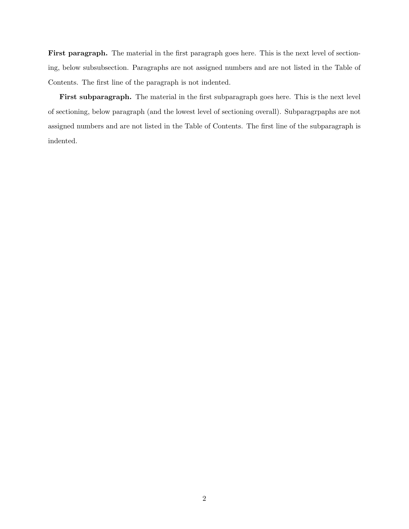First paragraph. The material in the first paragraph goes here. This is the next level of sectioning, below subsubsection. Paragraphs are not assigned numbers and are not listed in the Table of Contents. The first line of the paragraph is not indented.

First subparagraph. The material in the first subparagraph goes here. This is the next level of sectioning, below paragraph (and the lowest level of sectioning overall). Subparagrpaphs are not assigned numbers and are not listed in the Table of Contents. The first line of the subparagraph is indented.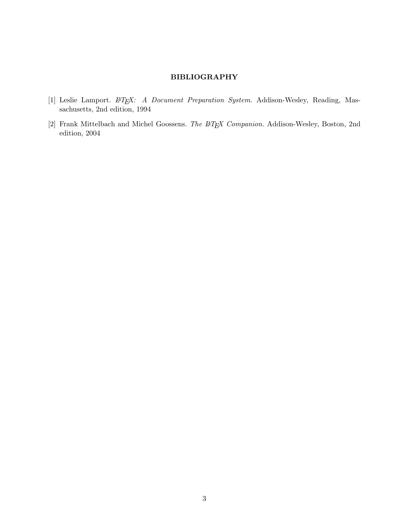### BIBLIOGRAPHY

- [1] Leslie Lamport. LATEX: A Document Preparation System. Addison-Wesley, Reading, Massachusetts, 2nd edition, 1994
- $\left[2\right]$  Frank Mittelbach and Michel Goossens. The  $\emph{BTEX}$  Companion. Addison-Wesley, Boston, 2nd edition, 2004